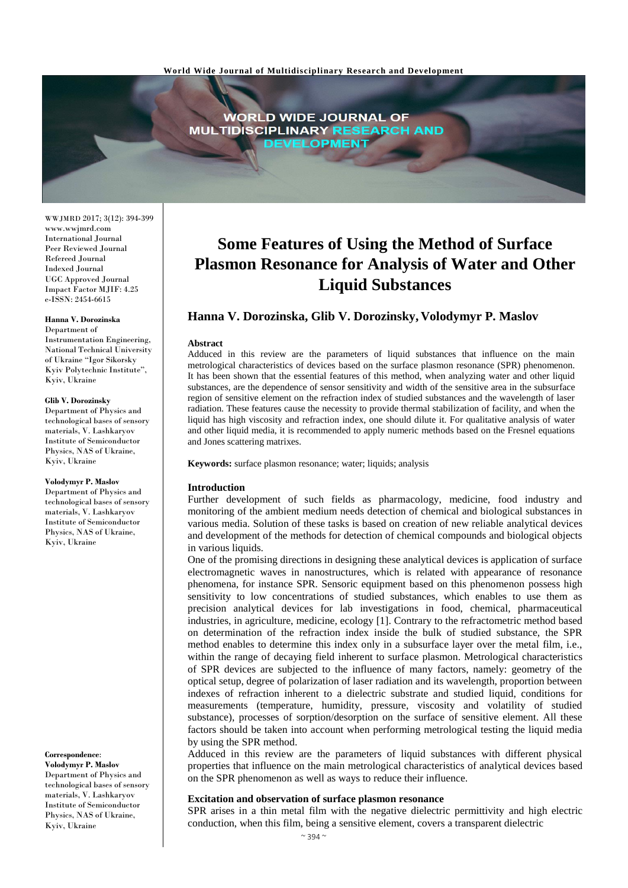

WWJMRD 2017; 3(12): 394-399 www.wwjmrd.com International Journal Peer Reviewed Journal Refereed Journal Indexed Journal UGC Approved Journal Impact Factor MJIF: 4.25 e-ISSN: 2454-6615

#### **Hanna V. Dorozinska**

Department of Instrumentation Engineering, National Technical University of Ukraine "Igor Sikorsky Kyiv Polytechnic Institute", Kyiv, Ukraine

#### **Glib V. Dorozinsky**

Department of Physics and technological bases of sensory materials, V. Lashkaryov Institute of Semiconductor Physics, NAS of Ukraine Kyiv, Ukraine

#### **Volodymyr P. Maslov**

Department of Physics and technological bases of sensory materials, V. Lashkaryov Institute of Semiconductor Physics, NAS of Ukraine, Kyiv, Ukraine

#### **Correspondence**:

**Volodymyr P. Maslov** Department of Physics and technological bases of sensory materials, V. Lashkaryov Institute of Semiconductor Physics, NAS of Ukraine, Kyiv, Ukraine

# **Some Features of Using the Method of Surface Plasmon Resonance for Analysis of Water and Other Liquid Substances**

## **Hanna V. Dorozinska, Glib V. Dorozinsky, Volodymyr P. Maslov**

#### **Abstract**

Adduced in this review are the parameters of liquid substances that influence on the main metrological characteristics of devices based on the surface plasmon resonance (SPR) phenomenon. It has been shown that the essential features of this method, when analyzing water and other liquid substances, are the dependence of sensor sensitivity and width of the sensitive area in the subsurface region of sensitive element on the refraction index of studied substances and the wavelength of laser radiation. These features cause the necessity to provide thermal stabilization of facility, and when the liquid has high viscosity and refraction index, one should dilute it. For qualitative analysis of water and other liquid media, it is recommended to apply numeric methods based on the Fresnel equations and Jones scattering matrixes.

**Keywords:** surface plasmon resonance; water; liquids; analysis

#### **Introduction**

Further development of such fields as pharmacology, medicine, food industry and monitoring of the ambient medium needs detection of chemical and biological substances in various media. Solution of these tasks is based on creation of new reliable analytical devices and development of the methods for detection of chemical compounds and biological objects in various liquids.

One of the promising directions in designing these analytical devices is application of surface electromagnetic waves in nanostructures, which is related with appearance of resonance phenomena, for instance SPR. Sensoric equipment based on this phenomenon possess high sensitivity to low concentrations of studied substances, which enables to use them as precision analytical devices for lab investigations in food, chemical, pharmaceutical industries, in agriculture, medicine, ecology [1]. Contrary to the refractometric method based on determination of the refraction index inside the bulk of studied substance, the SPR method enables to determine this index only in a subsurface layer over the metal film, i.e., within the range of decaying field inherent to surface plasmon. Metrological characteristics of SPR devices are subjected to the influence of many factors, namely: geometry of the optical setup, degree of polarization of laser radiation and its wavelength, proportion between indexes of refraction inherent to a dielectric substrate and studied liquid, conditions for measurements (temperature, humidity, pressure, viscosity and volatility of studied substance), processes of sorption/desorption on the surface of sensitive element. All these factors should be taken into account when performing metrological testing the liquid media by using the SPR method.

Adduced in this review are the parameters of liquid substances with different physical properties that influence on the main metrological characteristics of analytical devices based on the SPR phenomenon as well as ways to reduce their influence.

## **Excitation and observation of surface plasmon resonance**

SPR arises in a thin metal film with the negative dielectric permittivity and high electric conduction, when this film, being a sensitive element, covers a transparent dielectric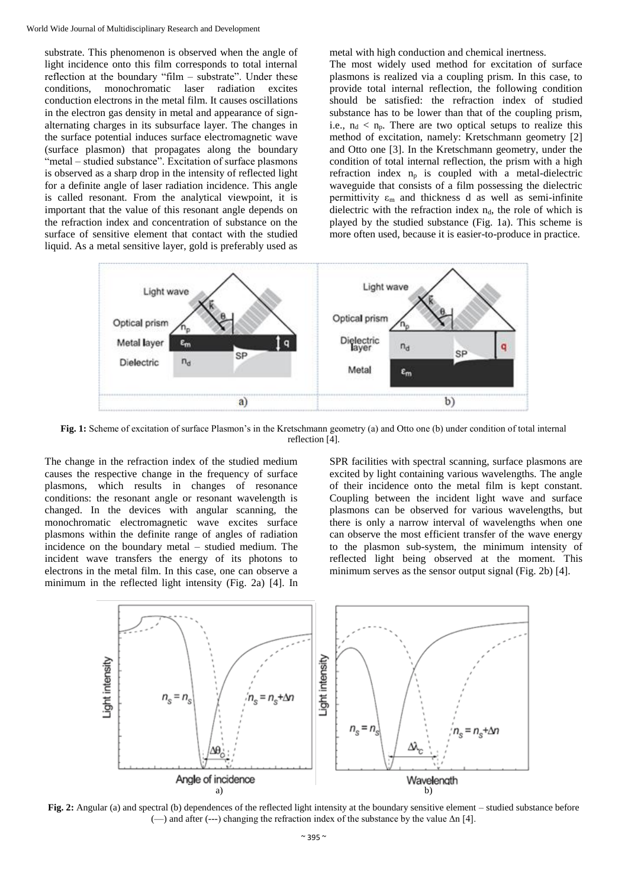substrate. This phenomenon is observed when the angle of light incidence onto this film corresponds to total internal reflection at the boundary "film – substrate". Under these conditions, monochromatic laser radiation excites conduction electrons in the metal film. It causes oscillations in the electron gas density in metal and appearance of signalternating charges in its subsurface layer. The changes in the surface potential induces surface electromagnetic wave (surface plasmon) that propagates along the boundary "metal – studied substance". Excitation of surface plasmons is observed as a sharp drop in the intensity of reflected light for a definite angle of laser radiation incidence. This angle is called resonant. From the analytical viewpoint, it is important that the value of this resonant angle depends on the refraction index and concentration of substance on the surface of sensitive element that contact with the studied liquid. As a metal sensitive layer, gold is preferably used as metal with high conduction and chemical inertness.

The most widely used method for excitation of surface plasmons is realized via a coupling prism. In this case, to provide total internal reflection, the following condition should be satisfied: the refraction index of studied substance has to be lower than that of the coupling prism, i.e.,  $n_d < n_p$ . There are two optical setups to realize this method of excitation, namely: Kretschmann geometry [2] and Otto one [3]. In the Kretschmann geometry, under the condition of total internal reflection, the prism with a high refraction index  $n_p$  is coupled with a metal-dielectric waveguide that consists of a film possessing the dielectric permittivity  $\varepsilon_m$  and thickness d as well as semi-infinite dielectric with the refraction index  $n_d$ , the role of which is played by the studied substance (Fig. 1a). This scheme is more often used, because it is easier-to-produce in practice.



**Fig. 1:** Scheme of excitation of surface Plasmon's in the Kretschmann geometry (a) and Otto one (b) under condition of total internal reflection [4].

The change in the refraction index of the studied medium causes the respective change in the frequency of surface plasmons, which results in changes of resonance conditions: the resonant angle or resonant wavelength is changed. In the devices with angular scanning, the monochromatic electromagnetic wave excites surface plasmons within the definite range of angles of radiation incidence on the boundary metal – studied medium. The incident wave transfers the energy of its photons to electrons in the metal film. In this case, one can observe a minimum in the reflected light intensity (Fig. 2a) [4]. In SPR facilities with spectral scanning, surface plasmons are excited by light containing various wavelengths. The angle of their incidence onto the metal film is kept constant. Coupling between the incident light wave and surface plasmons can be observed for various wavelengths, but there is only a narrow interval of wavelengths when one can observe the most efficient transfer of the wave energy to the plasmon sub-system, the minimum intensity of reflected light being observed at the moment. This minimum serves as the sensor output signal (Fig. 2b) [4].



**Fig. 2:** Angular (a) and spectral (b) dependences of the reflected light intensity at the boundary sensitive element – studied substance before (—) and after (---) changing the refraction index of the substance by the value Δn [4].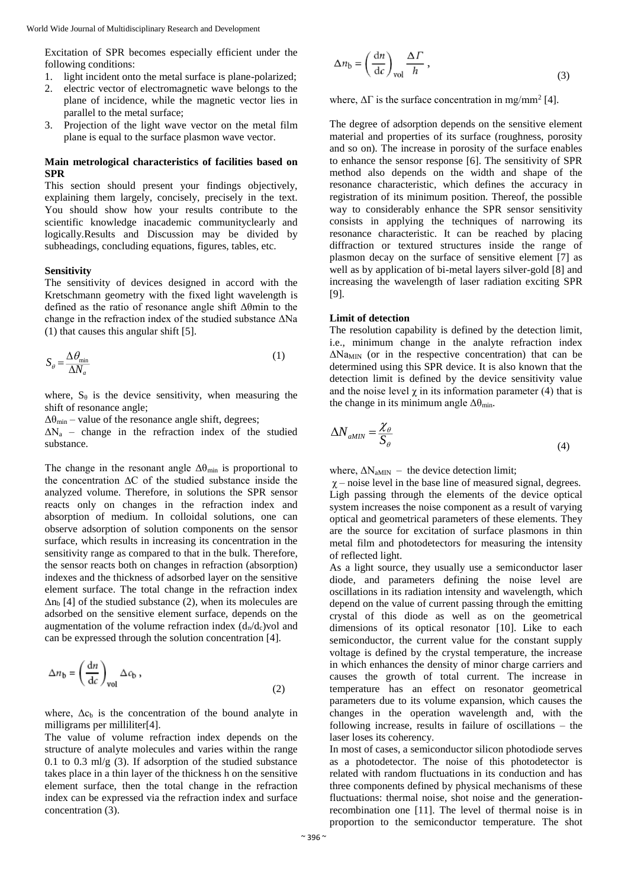Excitation of SPR becomes especially efficient under the following conditions:

- 1. light incident onto the metal surface is plane-polarized;
- 2. electric vector of electromagnetic wave belongs to the plane of incidence, while the magnetic vector lies in parallel to the metal surface;
- 3. Projection of the light wave vector on the metal film plane is equal to the surface plasmon wave vector.

## **Main metrological characteristics of facilities based on SPR**

This section should present your findings objectively, explaining them largely, concisely, precisely in the text. You should show how your results contribute to the scientific knowledge inacademic communityclearly and logically.Results and Discussion may be divided by subheadings, concluding equations, figures, tables, etc.

## **Sensitivity**

The sensitivity of devices designed in accord with the Kretschmann geometry with the fixed light wavelength is defined as the ratio of resonance angle shift Δθmin to the change in the refraction index of the studied substance ΔNa (1) that causes this angular shift [5].

$$
S_{\theta} = \frac{\Delta \theta_{\text{min}}}{\Delta N_a} \tag{1}
$$

where,  $S_{\theta}$  is the device sensitivity, when measuring the shift of resonance angle;

 $\Delta\theta_{\text{min}}$  – value of the resonance angle shift, degrees;

 $\Delta N_a$  – change in the refraction index of the studied substance.

The change in the resonant angle  $\Delta\theta_{min}$  is proportional to the concentration ΔС of the studied substance inside the analyzed volume. Therefore, in solutions the SPR sensor reacts only on changes in the refraction index and absorption of medium. In colloidal solutions, one can observe adsorption of solution components on the sensor surface, which results in increasing its concentration in the sensitivity range as compared to that in the bulk. Therefore, the sensor reacts both on changes in refraction (absorption) indexes and the thickness of adsorbed layer on the sensitive element surface. The total change in the refraction index  $\Delta n_b$  [4] of the studied substance (2), when its molecules are adsorbed on the sensitive element surface, depends on the augmentation of the volume refraction index  $(d_n/d_c)$ vol and can be expressed through the solution concentration [4].

$$
\Delta n_{\rm b} = \left(\frac{\mathrm{d}n}{\mathrm{d}c}\right)_{\rm vol} \Delta c_{\rm b} \,,\tag{2}
$$

where,  $\Delta c_b$  is the concentration of the bound analyte in milligrams per milliliter[4].

The value of volume refraction index depends on the structure of analyte molecules and varies within the range 0.1 to 0.3 ml/g  $(3)$ . If adsorption of the studied substance takes place in a thin layer of the thickness h on the sensitive element surface, then the total change in the refraction index can be expressed via the refraction index and surface concentration (3).

$$
\Delta n_{\rm b} = \left(\frac{\mathrm{d}n}{\mathrm{d}c}\right)_{\rm vol} \frac{\Delta \Gamma}{h},\tag{3}
$$

where,  $\Delta \Gamma$  is the surface concentration in mg/mm<sup>2</sup> [4].

The degree of adsorption depends on the sensitive element material and properties of its surface (roughness, porosity and so on). The increase in porosity of the surface enables to enhance the sensor response [6]. The sensitivity of SPR method also depends on the width and shape of the resonance characteristic, which defines the accuracy in registration of its minimum position. Thereof, the possible way to considerably enhance the SPR sensor sensitivity consists in applying the techniques of narrowing its resonance characteristic. It can be reached by placing diffraction or textured structures inside the range of plasmon decay on the surface of sensitive element [7] as well as by application of bi-metal layers silver-gold [8] and increasing the wavelength of laser radiation exciting SPR [9].

## **Limit of detection**

The resolution capability is defined by the detection limit, i.e., minimum change in the analyte refraction index  $\Delta$ Na<sub>MIN</sub> (or in the respective concentration) that can be determined using this SPR device. It is also known that the detection limit is defined by the device sensitivity value and the noise level  $\gamma$  in its information parameter (4) that is the change in its minimum angle  $\Delta\theta_{\text{min}}$ .

$$
\Delta N_{aMIN} = \frac{\chi_{\theta}}{S_{\theta}}
$$
 (4)

where,  $\Delta N_{\text{aMIN}}$  – the device detection limit;

 $\gamma$  – noise level in the base line of measured signal, degrees. Ligh passing through the elements of the device optical system increases the noise component as a result of varying optical and geometrical parameters of these elements. They are the source for excitation of surface plasmons in thin metal film and photodetectors for measuring the intensity of reflected light.

As a light source, they usually use a semiconductor laser diode, and parameters defining the noise level are oscillations in its radiation intensity and wavelength, which depend on the value of current passing through the emitting crystal of this diode as well as on the geometrical dimensions of its optical resonator [10]. Like to each semiconductor, the current value for the constant supply voltage is defined by the crystal temperature, the increase in which enhances the density of minor charge carriers and causes the growth of total current. The increase in temperature has an effect on resonator geometrical parameters due to its volume expansion, which causes the changes in the operation wavelength and, with the following increase, results in failure of oscillations – the laser loses its coherency.

In most of cases, a semiconductor silicon photodiode serves as a photodetector. The noise of this photodetector is related with random fluctuations in its conduction and has three components defined by physical mechanisms of these fluctuations: thermal noise, shot noise and the generationrecombination one [11]. The level of thermal noise is in proportion to the semiconductor temperature. The shot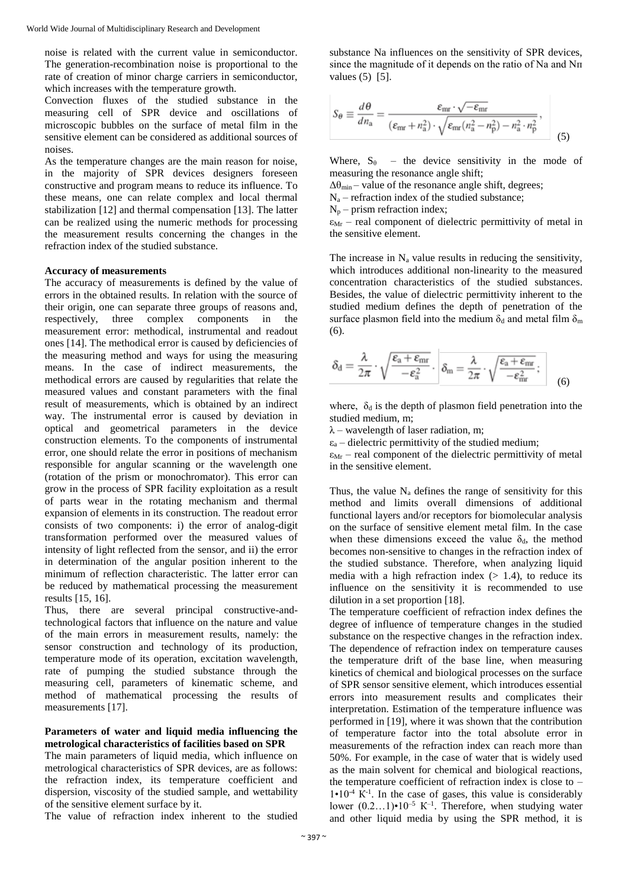noise is related with the current value in semiconductor. The generation-recombination noise is proportional to the rate of creation of minor charge carriers in semiconductor, which increases with the temperature growth.

Convection fluxes of the studied substance in the measuring cell of SPR device and oscillations of microscopic bubbles on the surface of metal film in the sensitive element can be considered as additional sources of noises.

As the temperature changes are the main reason for noise, in the majority of SPR devices designers foreseen constructive and program means to reduce its influence. To these means, one can relate complex and local thermal stabilization [12] and thermal compensation [13]. The latter can be realized using the numeric methods for processing the measurement results concerning the changes in the refraction index of the studied substance.

### **Accuracy of measurements**

The accuracy of measurements is defined by the value of errors in the obtained results. In relation with the source of their origin, one can separate three groups of reasons and, respectively, three complex components in the measurement error: methodical, instrumental and readout ones [14]. The methodical error is caused by deficiencies of the measuring method and ways for using the measuring means. In the case of indirect measurements, the methodical errors are caused by regularities that relate the measured values and constant parameters with the final result of measurements, which is obtained by an indirect way. The instrumental error is caused by deviation in optical and geometrical parameters in the device construction elements. To the components of instrumental error, one should relate the error in positions of mechanism responsible for angular scanning or the wavelength one (rotation of the prism or monochromator). This error can grow in the process of SPR facility exploitation as a result of parts wear in the rotating mechanism and thermal expansion of elements in its construction. The readout error consists of two components: i) the error of analog-digit transformation performed over the measured values of intensity of light reflected from the sensor, and ii) the error in determination of the angular position inherent to the minimum of reflection characteristic. The latter error can be reduced by mathematical processing the measurement results [15, 16].

Thus, there are several principal constructive-andtechnological factors that influence on the nature and value of the main errors in measurement results, namely: the sensor construction and technology of its production, temperature mode of its operation, excitation wavelength, rate of pumping the studied substance through the measuring cell, parameters of kinematic scheme, and method of mathematical processing the results of measurements [17].

# **Parameters of water and liquid media influencing the metrological characteristics of facilities based on SPR**

The main parameters of liquid media, which influence on metrological characteristics of SPR devices, are as follows: the refraction index, its temperature coefficient and dispersion, viscosity of the studied sample, and wettability of the sensitive element surface by it.

The value of refraction index inherent to the studied

substance Na influences on the sensitivity of SPR devices, since the magnitude of it depends on the ratio of Na and Nп values (5) [5].

$$
S_{\theta} \equiv \frac{d\theta}{dn_{\text{a}}} = \frac{\varepsilon_{\text{mr}} \cdot \sqrt{-\varepsilon_{\text{mr}}}}{(\varepsilon_{\text{mr}} + n_{\text{a}}^2) \cdot \sqrt{\varepsilon_{\text{mr}} (n_{\text{a}}^2 - n_{\text{p}}^2) - n_{\text{a}}^2 \cdot n_{\text{p}}^2}},\tag{5}
$$

Where,  $S_{\theta}$  – the device sensitivity in the mode of measuring the resonance angle shift;

 $\Delta\theta_{\text{min}}$  – value of the resonance angle shift, degrees;

 $N_a$  – refraction index of the studied substance;

 $N_p$  – prism refraction index;

 $\varepsilon_{Mr}$  – real component of dielectric permittivity of metal in the sensitive element.

The increase in  $N_a$  value results in reducing the sensitivity, which introduces additional non-linearity to the measured concentration characteristics of the studied substances. Besides, the value of dielectric permittivity inherent to the studied medium defines the depth of penetration of the surface plasmon field into the medium  $\delta_d$  and metal film  $\delta_m$  $(6)$ .

$$
\delta_d = \frac{\lambda}{2\pi} \cdot \sqrt{\frac{\epsilon_a + \epsilon_{mr}}{-\epsilon_a^2}} \cdot \left| \delta_m = \frac{\lambda}{2\pi} \cdot \sqrt{\frac{\epsilon_a + \epsilon_{mr}}{-\epsilon_{mr}^2}} \, ; \right| \qquad \qquad (6)
$$

where,  $\delta_d$  is the depth of plasmon field penetration into the studied medium, m;

 $\lambda$  – wavelength of laser radiation, m;

 $\varepsilon_a$  – dielectric permittivity of the studied medium;

 $\varepsilon_{Mr}$  – real component of the dielectric permittivity of metal in the sensitive element.

Thus, the value  $N_a$  defines the range of sensitivity for this method and limits overall dimensions of additional functional layers and/or receptors for biomolecular analysis on the surface of sensitive element metal film. In the case when these dimensions exceed the value  $\delta_d$ , the method becomes non-sensitive to changes in the refraction index of the studied substance. Therefore, when analyzing liquid media with a high refraction index  $(> 1.4)$ , to reduce its influence on the sensitivity it is recommended to use dilution in a set proportion [18].

The temperature coefficient of refraction index defines the degree of influence of temperature changes in the studied substance on the respective changes in the refraction index. The dependence of refraction index on temperature causes the temperature drift of the base line, when measuring kinetics of chemical and biological processes on the surface of SPR sensor sensitive element, which introduces essential errors into measurement results and complicates their interpretation. Estimation of the temperature influence was performed in [19], where it was shown that the contribution of temperature factor into the total absolute error in measurements of the refraction index can reach more than 50%. For example, in the case of water that is widely used as the main solvent for chemical and biological reactions, the temperature coefficient of refraction index is close to  $1 \cdot 10^{-4}$  K<sup>-1</sup>. In the case of gases, this value is considerably lower  $(0.2...1) \cdot 10^{-5}$  K<sup>-1</sup>. Therefore, when studying water and other liquid media by using the SPR method, it is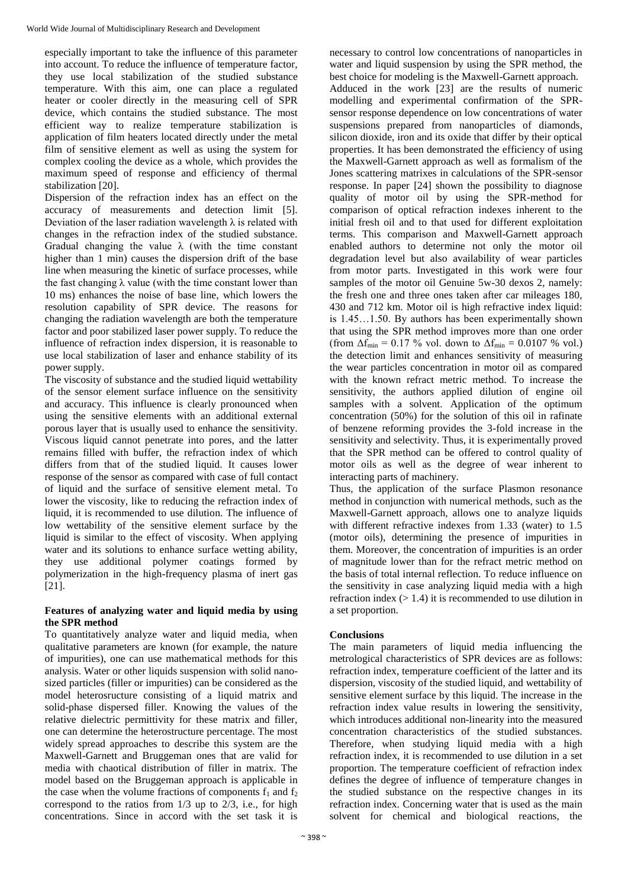especially important to take the influence of this parameter into account. To reduce the influence of temperature factor, they use local stabilization of the studied substance temperature. With this aim, one can place a regulated heater or cooler directly in the measuring cell of SPR device, which contains the studied substance. The most efficient way to realize temperature stabilization is application of film heaters located directly under the metal film of sensitive element as well as using the system for complex cooling the device as a whole, which provides the maximum speed of response and efficiency of thermal stabilization [20].

Dispersion of the refraction index has an effect on the accuracy of measurements and detection limit [5]. Deviation of the laser radiation wavelength  $\lambda$  is related with changes in the refraction index of the studied substance. Gradual changing the value  $\lambda$  (with the time constant higher than 1 min) causes the dispersion drift of the base line when measuring the kinetic of surface processes, while the fast changing  $\lambda$  value (with the time constant lower than 10 ms) enhances the noise of base line, which lowers the resolution capability of SPR device. The reasons for changing the radiation wavelength are both the temperature factor and poor stabilized laser power supply. To reduce the influence of refraction index dispersion, it is reasonable to use local stabilization of laser and enhance stability of its power supply.

The viscosity of substance and the studied liquid wettability of the sensor element surface influence on the sensitivity and accuracy. This influence is clearly pronounced when using the sensitive elements with an additional external porous layer that is usually used to enhance the sensitivity. Viscous liquid cannot penetrate into pores, and the latter remains filled with buffer, the refraction index of which differs from that of the studied liquid. It causes lower response of the sensor as compared with case of full contact of liquid and the surface of sensitive element metal. To lower the viscosity, like to reducing the refraction index of liquid, it is recommended to use dilution. The influence of low wettability of the sensitive element surface by the liquid is similar to the effect of viscosity. When applying water and its solutions to enhance surface wetting ability. they use additional polymer coatings formed by polymerization in the high-frequency plasma of inert gas [21].

# **Features of analyzing water and liquid media by using the SPR method**

To quantitatively analyze water and liquid media, when qualitative parameters are known (for example, the nature of impurities), one can use mathematical methods for this analysis. Water or other liquids suspension with solid nanosized particles (filler or impurities) can be considered as the model heterosructure consisting of a liquid matrix and solid-phase dispersed filler. Knowing the values of the relative dielectric permittivity for these matrix and filler, one can determine the heterostructure percentage. The most widely spread approaches to describe this system are the Maxwell-Garnett and Bruggeman ones that are valid for media with chaotical distribution of filler in matrix. The model based on the Bruggeman approach is applicable in the case when the volume fractions of components  $f_1$  and  $f_2$ correspond to the ratios from  $1/3$  up to  $2/3$ , i.e., for high concentrations. Since in accord with the set task it is

necessary to control low concentrations of nanoparticles in water and liquid suspension by using the SPR method, the best choice for modeling is the Maxwell-Garnett approach. Adduced in the work [23] are the results of numeric modelling and experimental confirmation of the SPRsensor response dependence on low concentrations of water suspensions prepared from nanoparticles of diamonds, silicon dioxide, iron and its oxide that differ by their optical properties. It has been demonstrated the efficiency of using the Maxwell-Garnett approach as well as formalism of the Jones scattering matrixes in calculations of the SPR-sensor response. In paper [24] shown the possibility to diagnose quality of motor oil by using the SPR-method for comparison of optical refraction indexes inherent to the initial fresh oil and to that used for different exploitation terms. This comparison and Maxwell-Garnett approach enabled authors to determine not only the motor oil degradation level but also availability of wear particles from motor parts. Investigated in this work were four samples of the motor oil Genuine 5w-30 dexos 2, namely: the fresh one and three ones taken after car mileages 180, 430 and 712 km. Motor oil is high refractive index liquid: is 1.45…1.50. By authors has been experimentally shown that using the SPR method improves more than one order (from  $\Delta f_{\text{min}} = 0.17$  % vol. down to  $\Delta f_{\text{min}} = 0.0107$  % vol.) the detection limit and enhances sensitivity of measuring the wear particles concentration in motor oil as compared with the known refract metric method. To increase the sensitivity, the authors applied dilution of engine oil samples with a solvent. Application of the optimum concentration (50%) for the solution of this oil in rafinate of benzene reforming provides the 3-fold increase in the sensitivity and selectivity. Thus, it is experimentally proved that the SPR method can be offered to control quality of motor oils as well as the degree of wear inherent to interacting parts of machinery.

Thus, the application of the surface Plasmon resonance method in conjunction with numerical methods, such as the Maxwell-Garnett approach, allows one to analyze liquids with different refractive indexes from 1.33 (water) to 1.5 (motor oils), determining the presence of impurities in them. Moreover, the concentration of impurities is an order of magnitude lower than for the refract metric method on the basis of total internal reflection. To reduce influence on the sensitivity in case analyzing liquid media with a high refraction index  $(> 1.4)$  it is recommended to use dilution in a set proportion.

# **Conclusions**

The main parameters of liquid media influencing the metrological characteristics of SPR devices are as follows: refraction index, temperature coefficient of the latter and its dispersion, viscosity of the studied liquid, and wettability of sensitive element surface by this liquid. The increase in the refraction index value results in lowering the sensitivity, which introduces additional non-linearity into the measured concentration characteristics of the studied substances. Therefore, when studying liquid media with a high refraction index, it is recommended to use dilution in a set proportion. The temperature coefficient of refraction index defines the degree of influence of temperature changes in the studied substance on the respective changes in its refraction index. Concerning water that is used as the main solvent for chemical and biological reactions, the